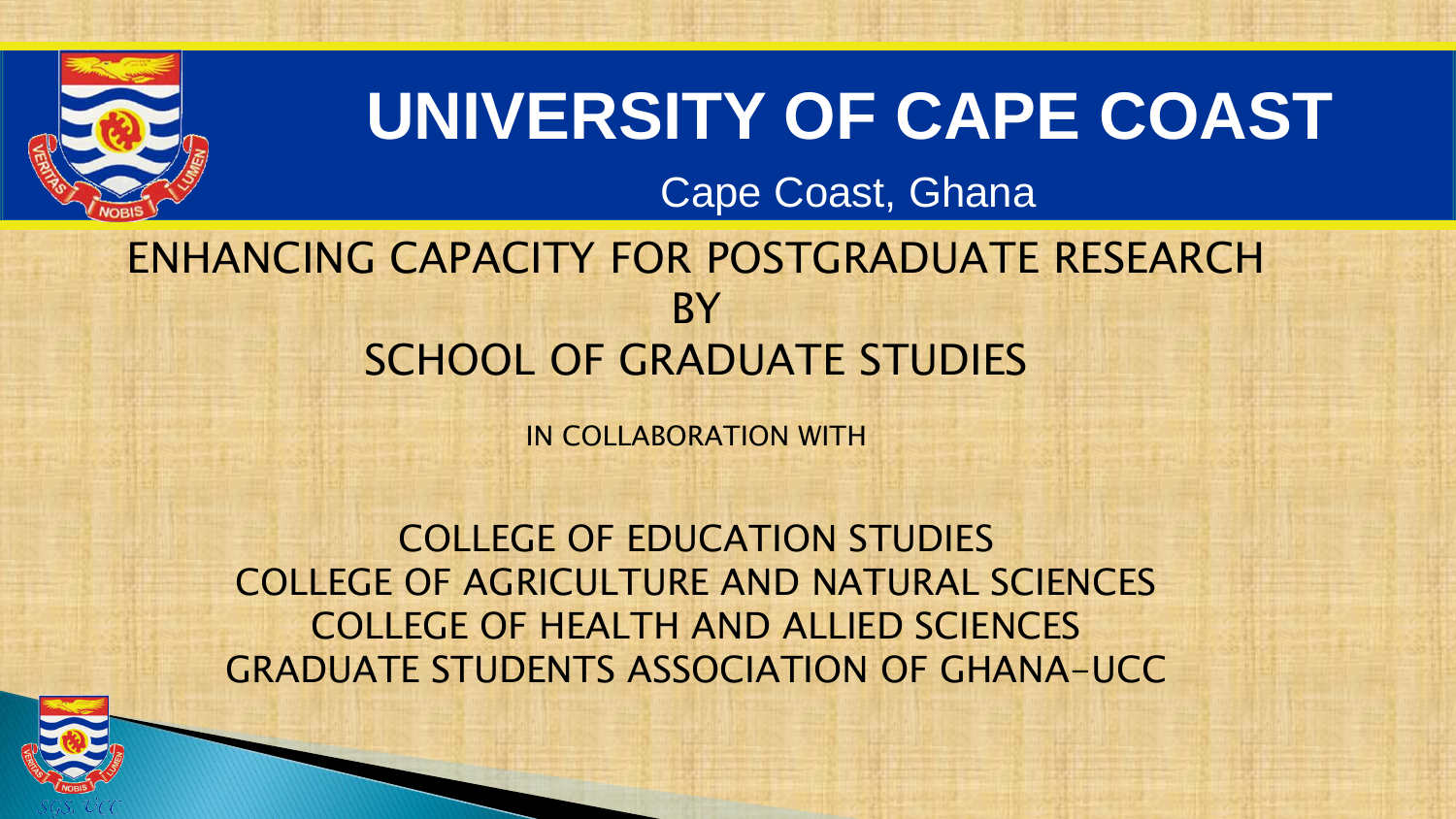

# **UNIVERSITY OF CAPE COAST**

# Cape Coast, Ghana

# ENHANCING CAPACITY FOR POSTGRADUATE RESEARCH **BY** SCHOOL OF GRADUATE STUDIES

IN COLLABORATION WITH

COLLEGE OF EDUCATION STUDIES COLLEGE OF AGRICULTURE AND NATURAL SCIENCES COLLEGE OF HEALTH AND ALLIED SCIENCES GRADUATE STUDENTS ASSOCIATION OF GHANA-UCC

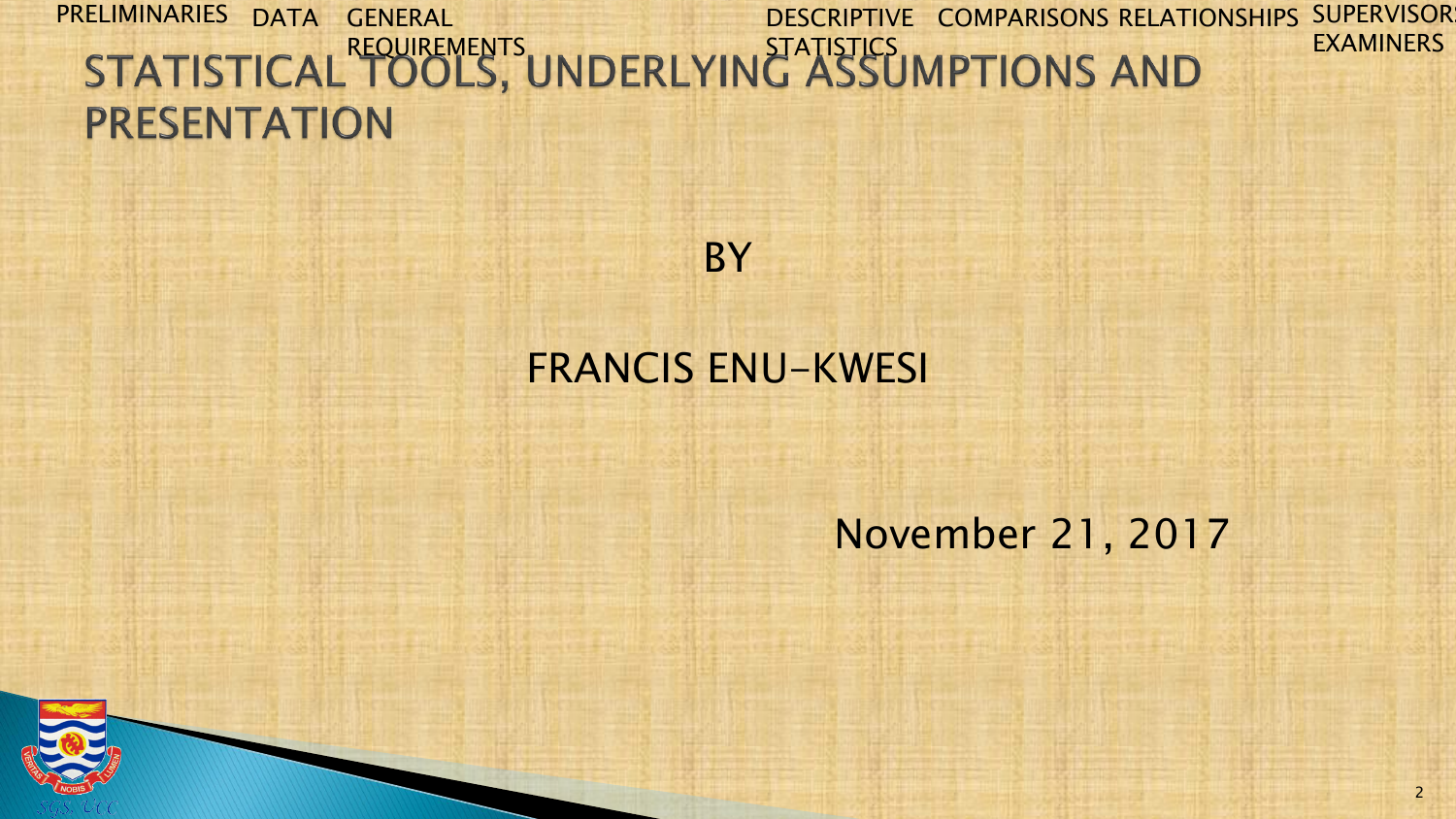#### PRELIMINARIES DATA GENERAL DESCRIPTIVE COMPARISONS RELATIONSHIPS SUPERVISOR EXAMINERS REQUIREMENTS .... FRIDERS ... STATISTICS **PRESENTATION**



## FRANCIS ENU-KWESI

### November 21, 2017

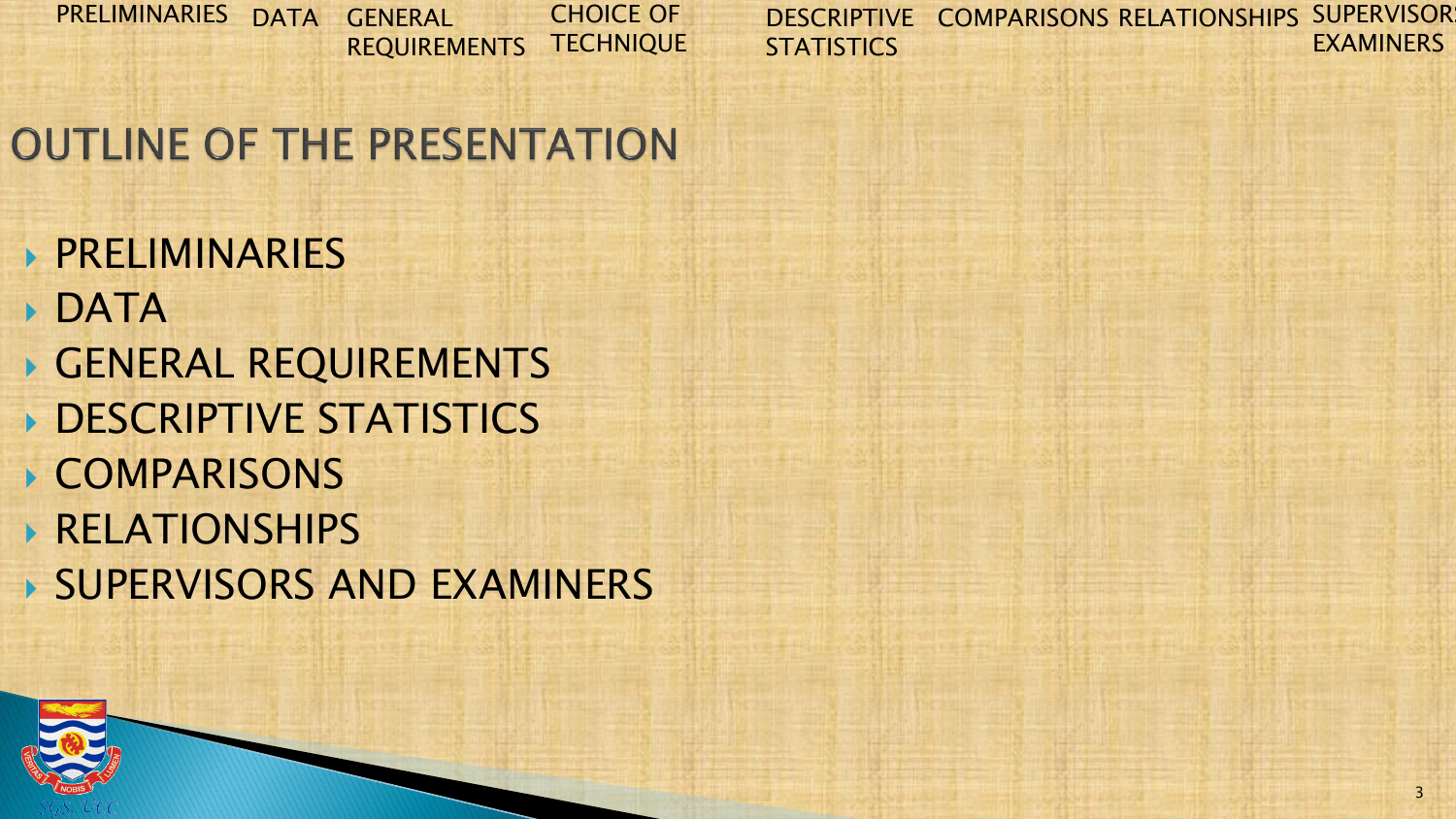PRELIMINARIES DATA GENERAL REQUIREMENTS CHOICE OF **TECHNIQUE** 

DESCRIPTIVE COMPARISONS RELATIONSHIPS SUPERVISOR **STATISTICS** EXAMINERS

# **OUTLINE OF THE PRESENTATION**

- PRELIMINARIES
- DATA
- GENERAL REQUIREMENTS
- **DESCRIPTIVE STATISTICS**
- COMPARISONS
- RELATIONSHIPS
- SUPERVISORS AND EXAMINERS

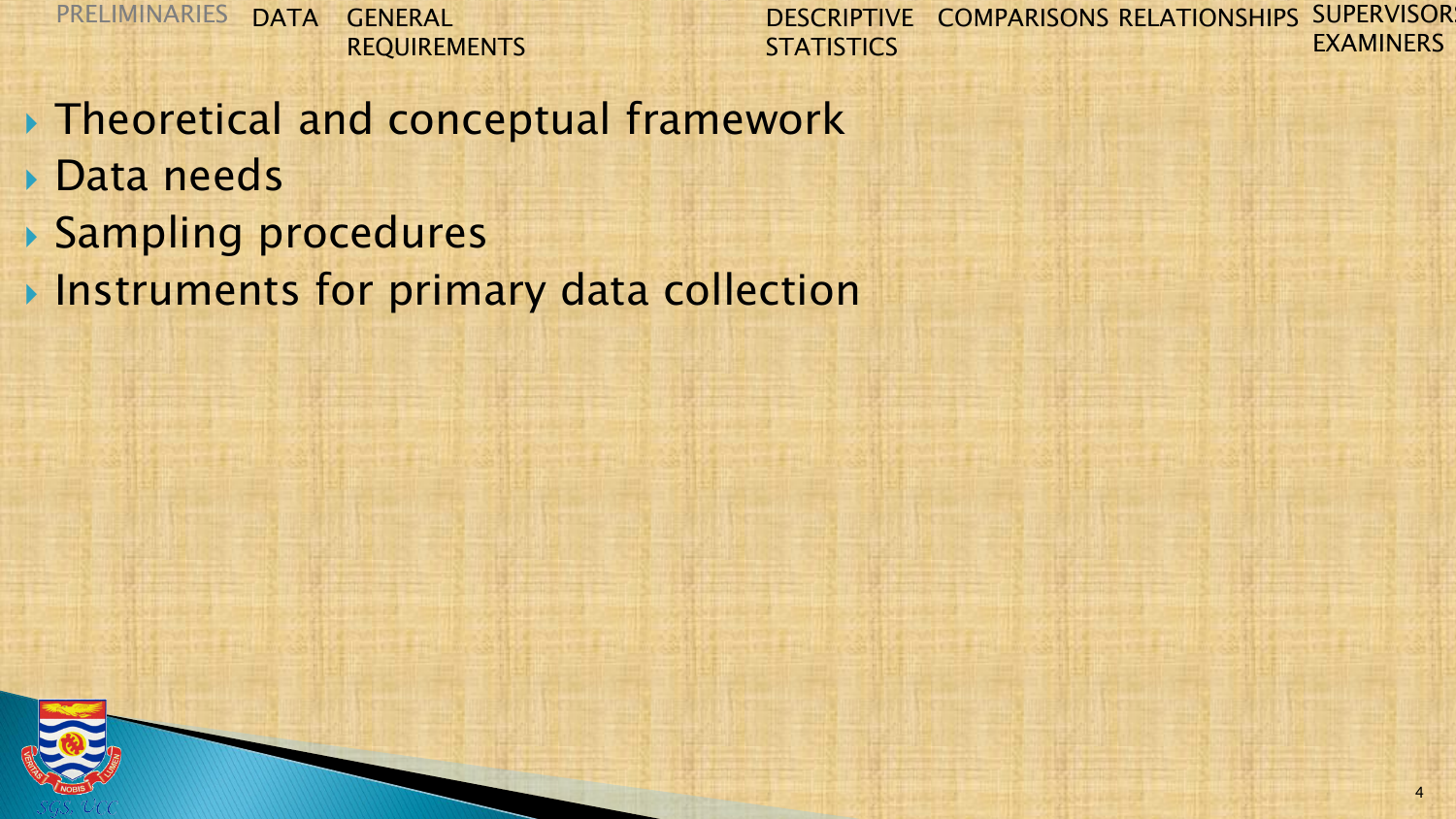- ▶ Theoretical and conceptual framework
- **▶ Data needs**
- Sampling procedures
- **Instruments for primary data collection**

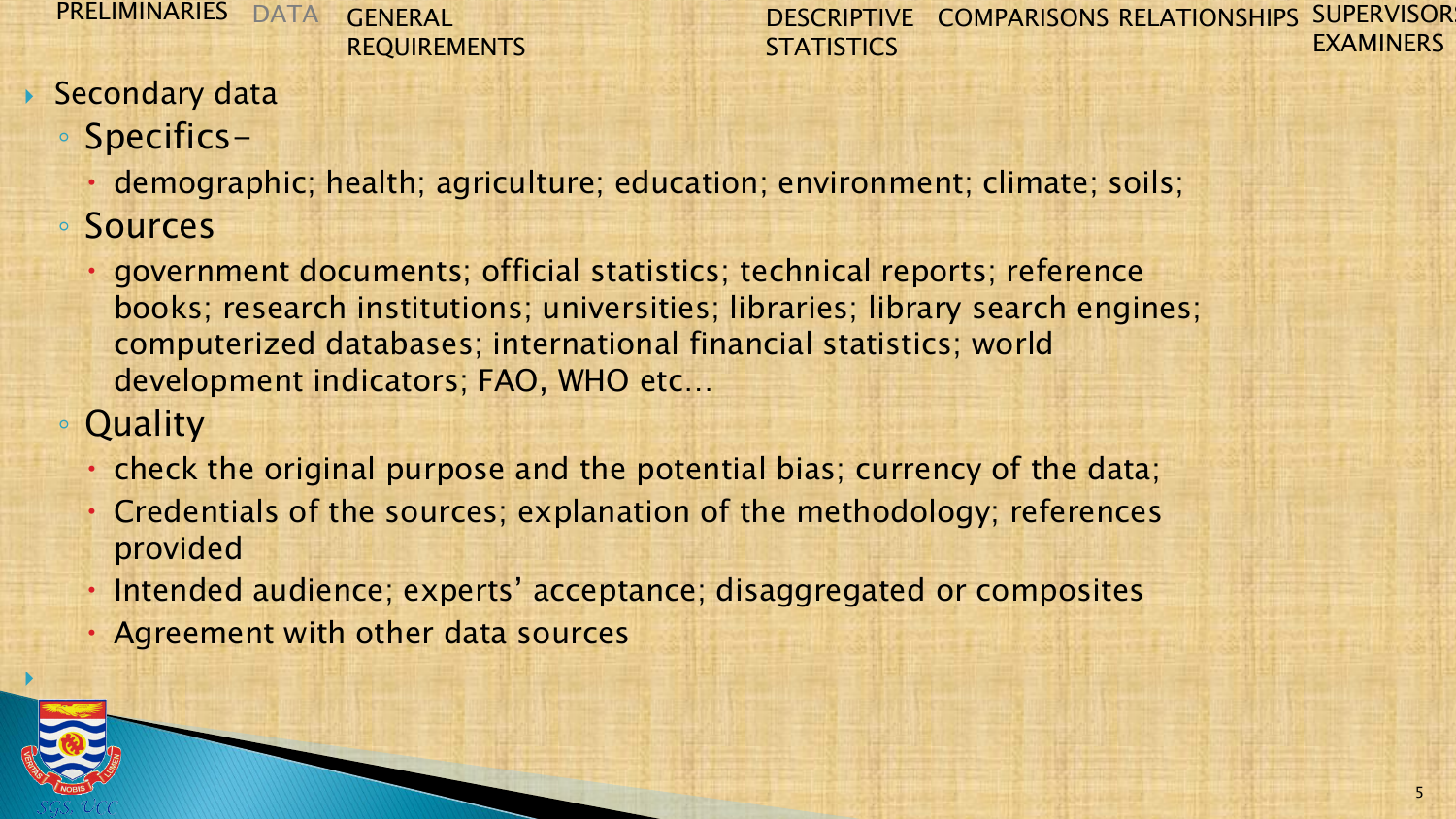DESCRIPTIVE COMPARISONS RELATIONSHIPS SUPERVISOR **STATISTICS** EXAMINERS

#### **Secondary data**

- Specifics
	- demographic; health; agriculture; education; environment; climate; soils;
- Sources
	- government documents; official statistics; technical reports; reference books; research institutions; universities; libraries; library search engines; computerized databases; international financial statistics; world development indicators; FAO, WHO etc…
- Quality
	- check the original purpose and the potential bias; currency of the data;
	- Credentials of the sources; explanation of the methodology; references provided
	- Intended audience; experts' acceptance; disaggregated or composites
	- Agreement with other data sources

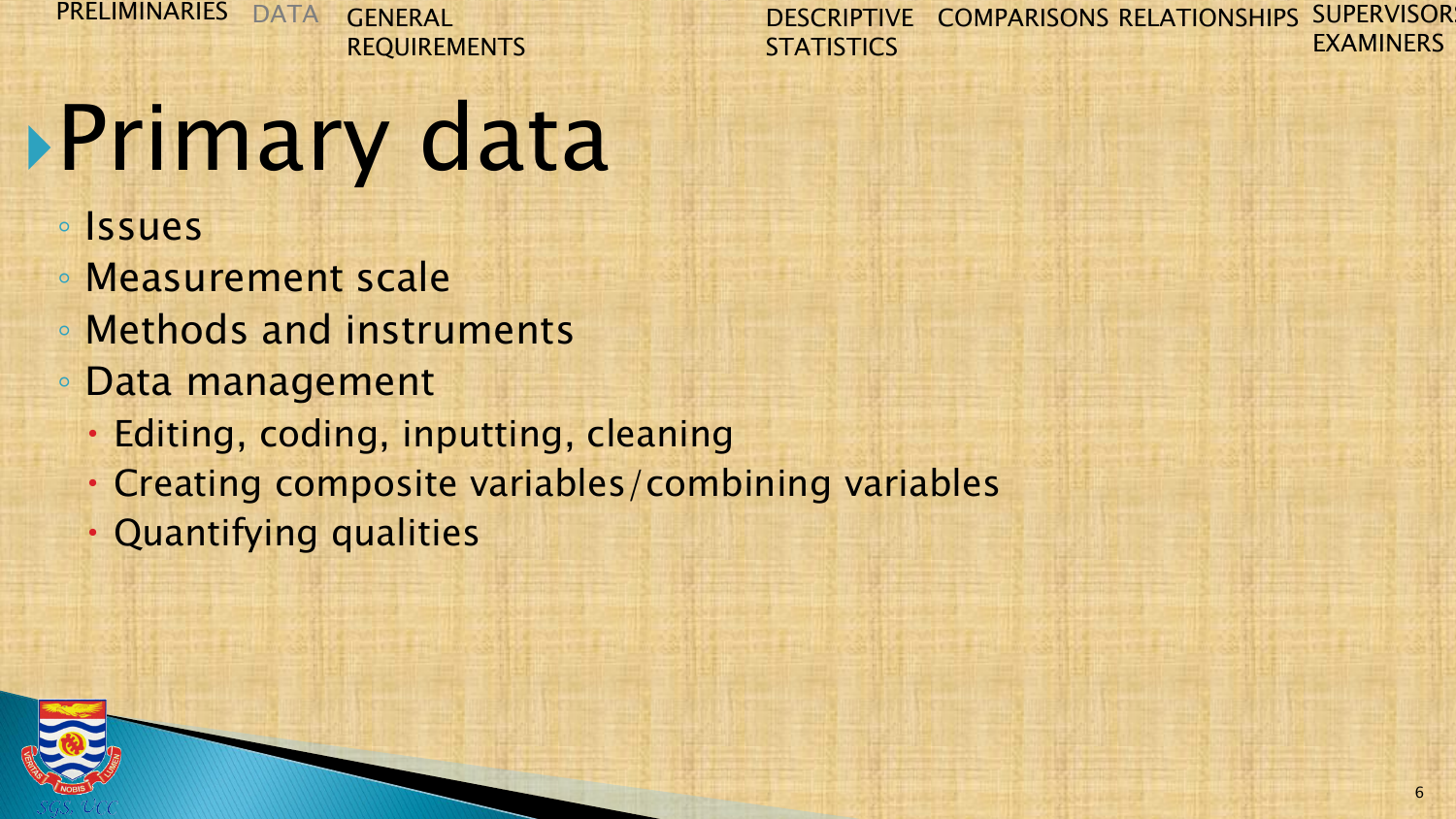DESCRIPTIVE COMPARISONS RELATIONSHIPS SUPERVISOR **STATISTICS** EXAMINERS

# Primary data

- Issues
- Measurement scale
- Methods and instruments
- Data management
	- Editing, coding, inputting, cleaning
	- Creating composite variables/combining variables
	- Quantifying qualities

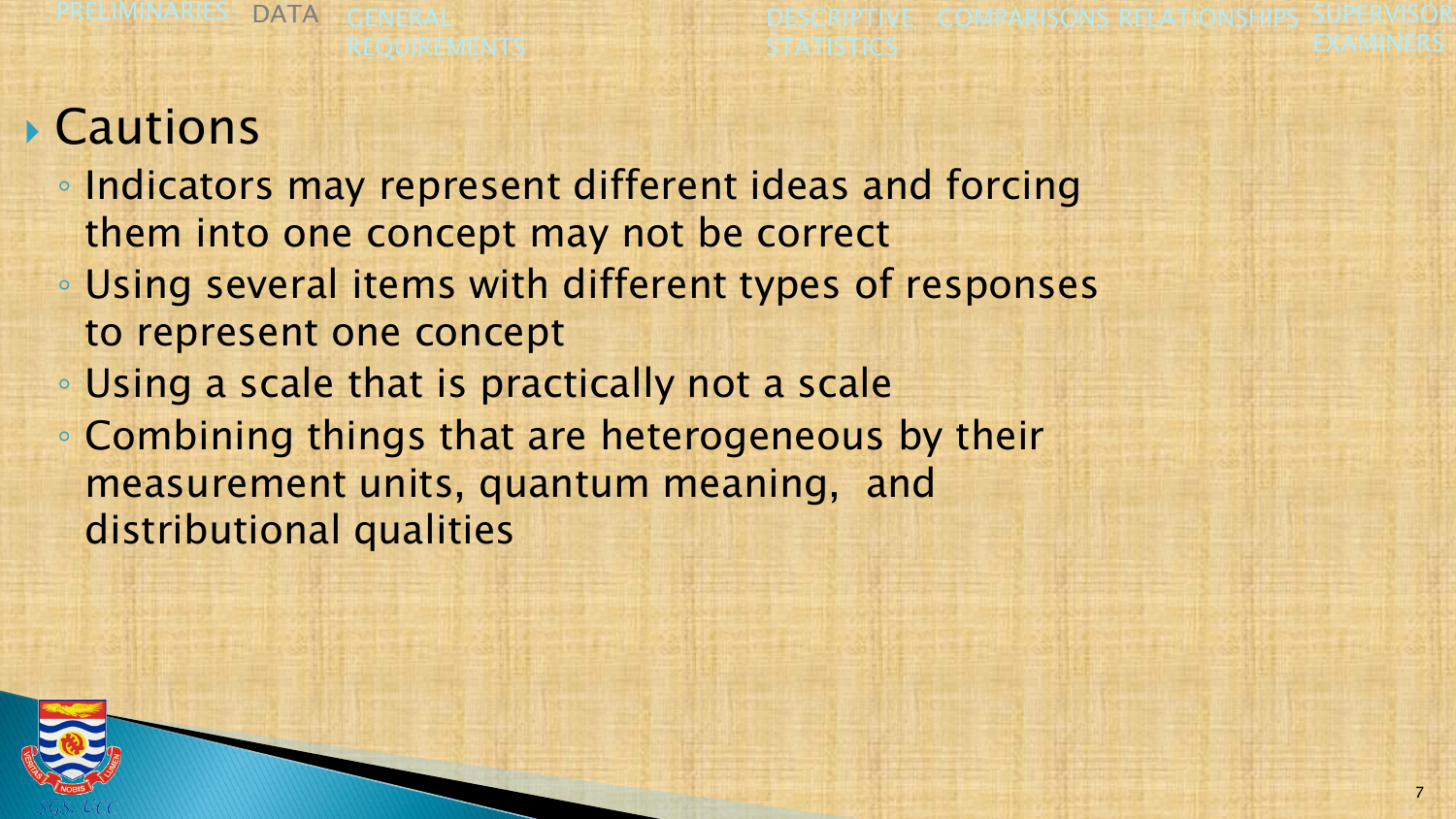**DESCRIPTIVE** STATISTICS **COMPARISONS RELATIONSHIPS** EXAMIN

# Cautions

- Indicators may represent different ideas and forcing them into one concept may not be correct
- Using several items with different types of responses to represent one concept
- Using a scale that is practically not a scale
- Combining things that are heterogeneous by their measurement units, quantum meaning, and distributional qualities

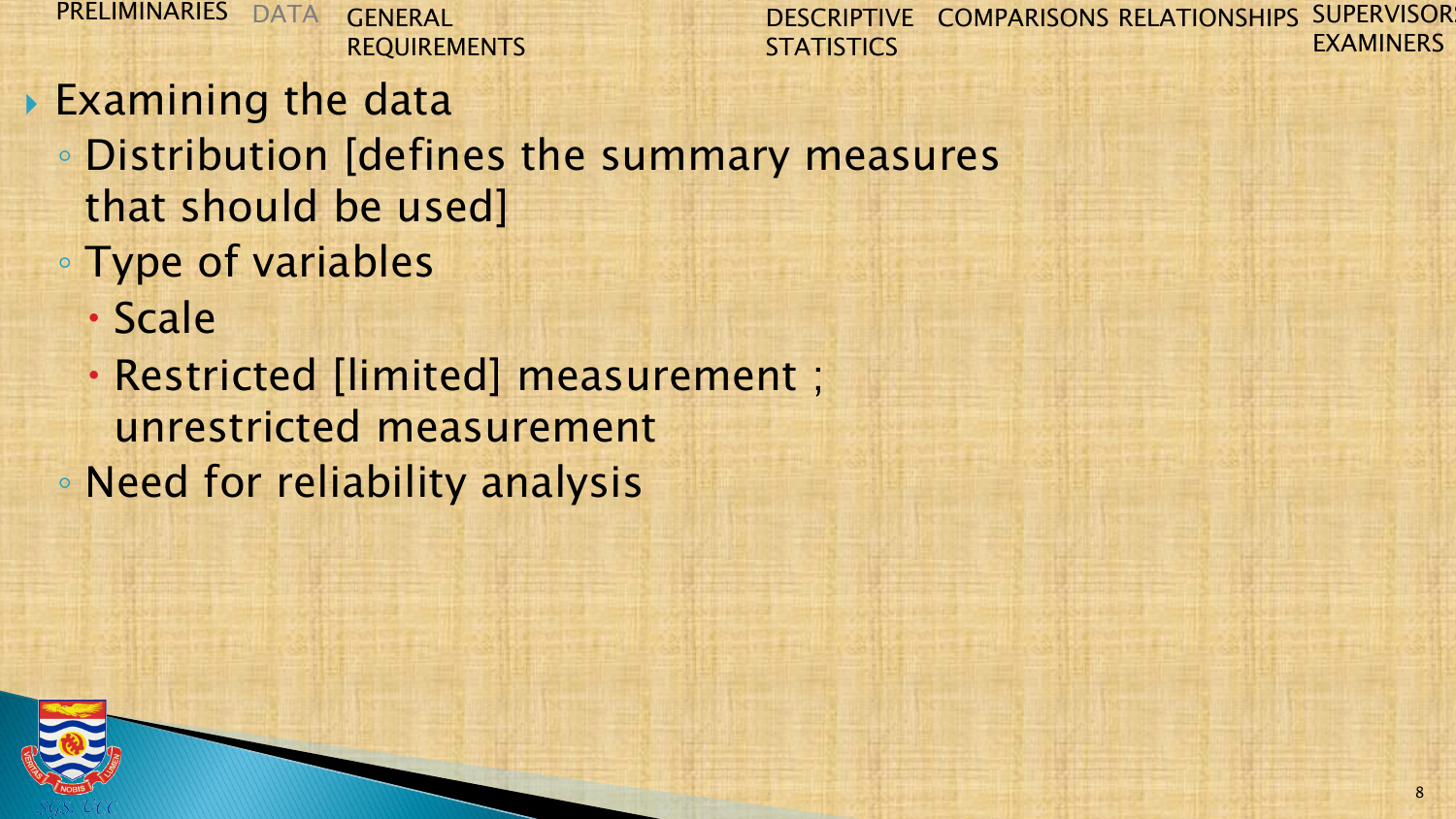DESCRIPTIVE COMPARISONS RELATIONSHIPS SUPERVISOR **STATISTICS** EXAMINERS

Examining the data

- Distribution [defines the summary measures that should be used]
- Type of variables
	- Scale
- Restricted [limited] measurement ; unrestricted measurement ◦ Need for reliability analysis

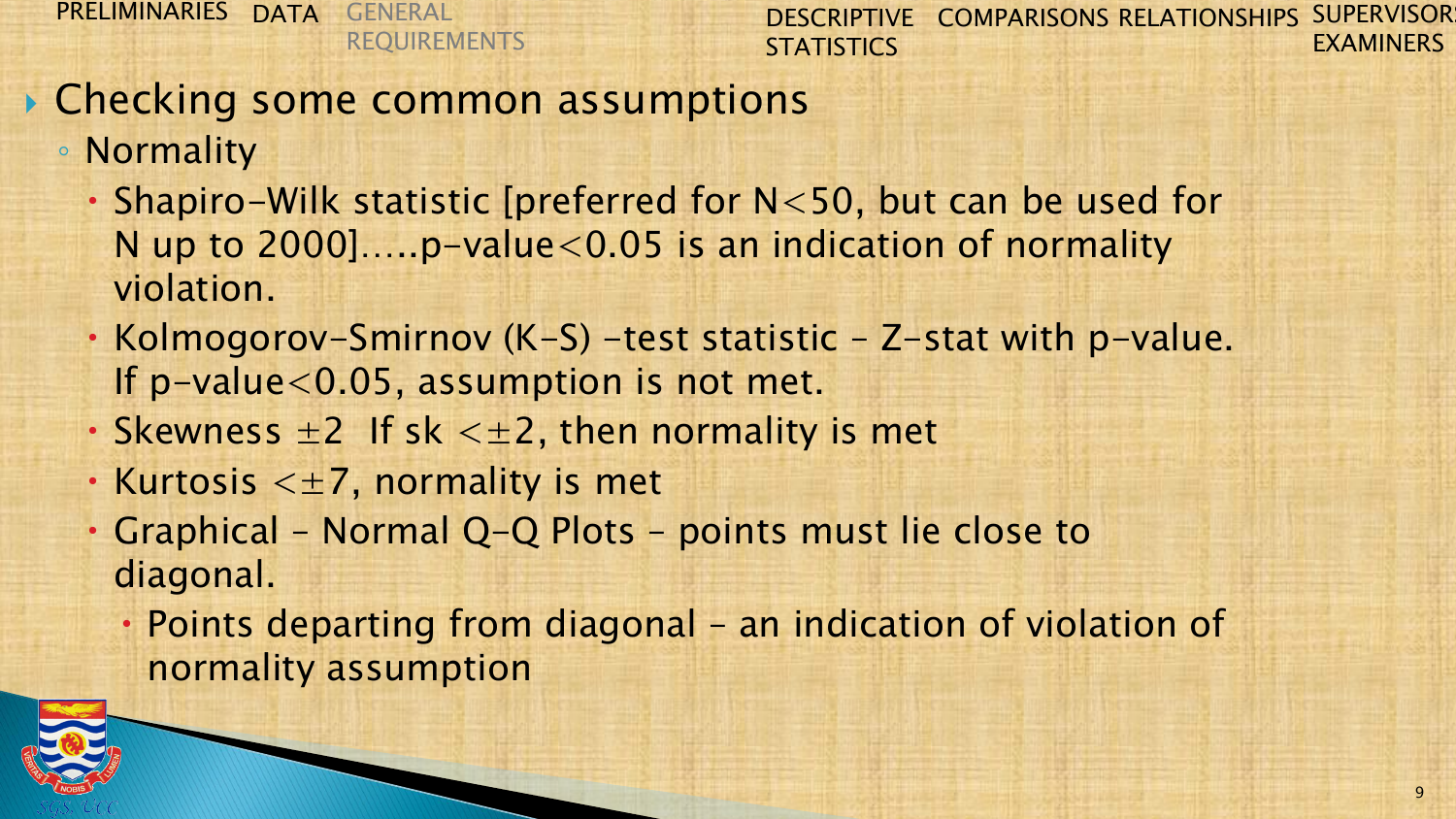DESCRIPTIVE COMPARISONS RELATIONSHIPS SUPERVISOR **STATISTICS** EXAMINERS

## **▶ Checking some common assumptions**

◦ Normality

- Shapiro-Wilk statistic [preferred for N<50, but can be used for N up to  $2000]$ .....p-value<0.05 is an indication of normality violation.
- Kolmogorov-Smirnov (K-S) -test statistic Z-stat with p-value. If p-value<0.05, assumption is not met.
- Skewness  $\pm 2$  If sk  $\lt \pm 2$ , then normality is met
- Kurtosis  $\lt\pm 7$ , normality is met
- Graphical Normal Q-Q Plots points must lie close to diagonal.
	- Points departing from diagonal an indication of violation of normality assumption

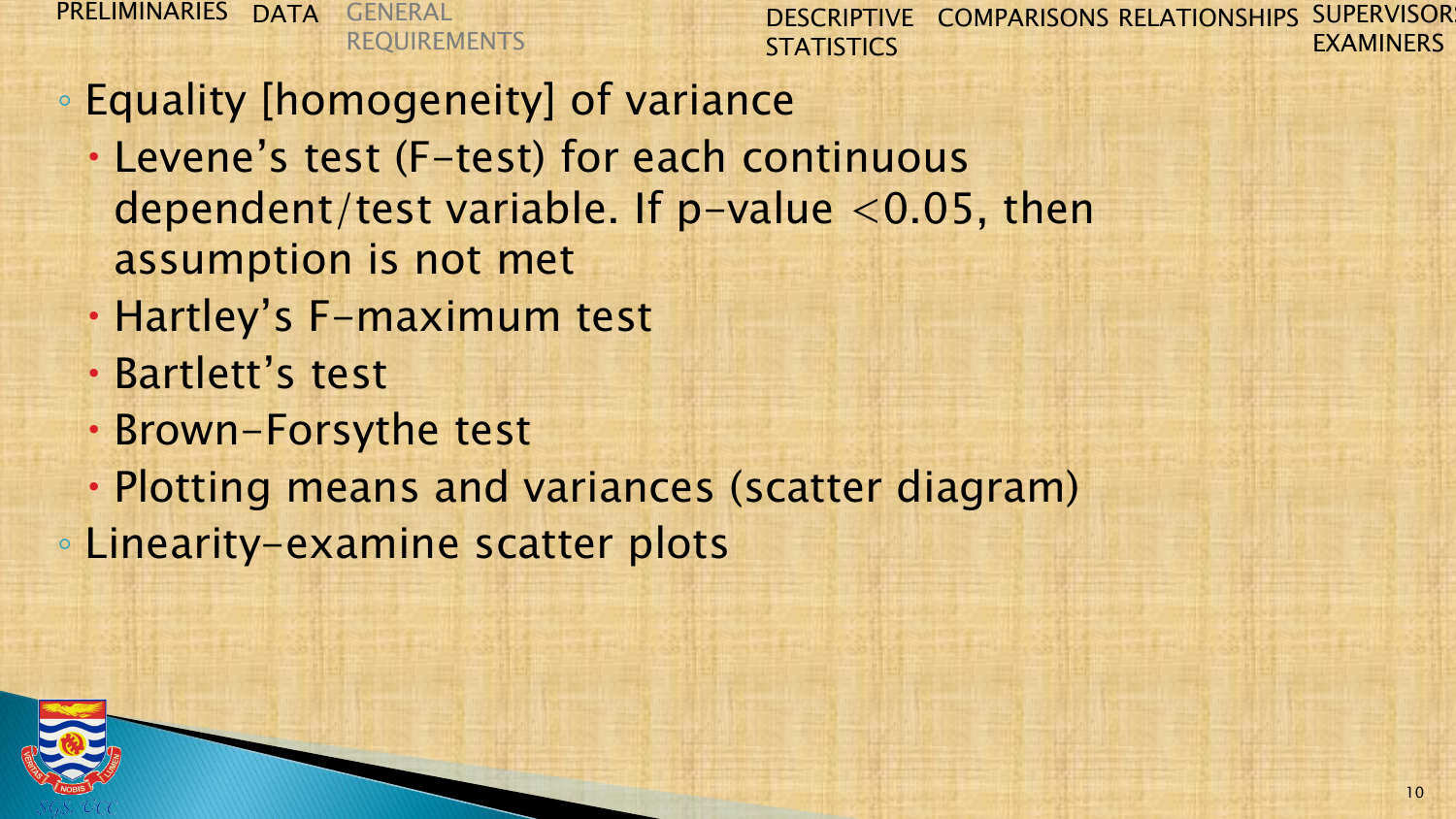- Equality [homogeneity] of variance
	- Levene's test (F-test) for each continuous dependent/test variable. If  $p$ -value <0.05, then assumption is not met
	- Hartley's F-maximum test
	- Bartlett's test
	- Brown-Forsythe test
	- Plotting means and variances (scatter diagram)
- Linearity-examine scatter plots

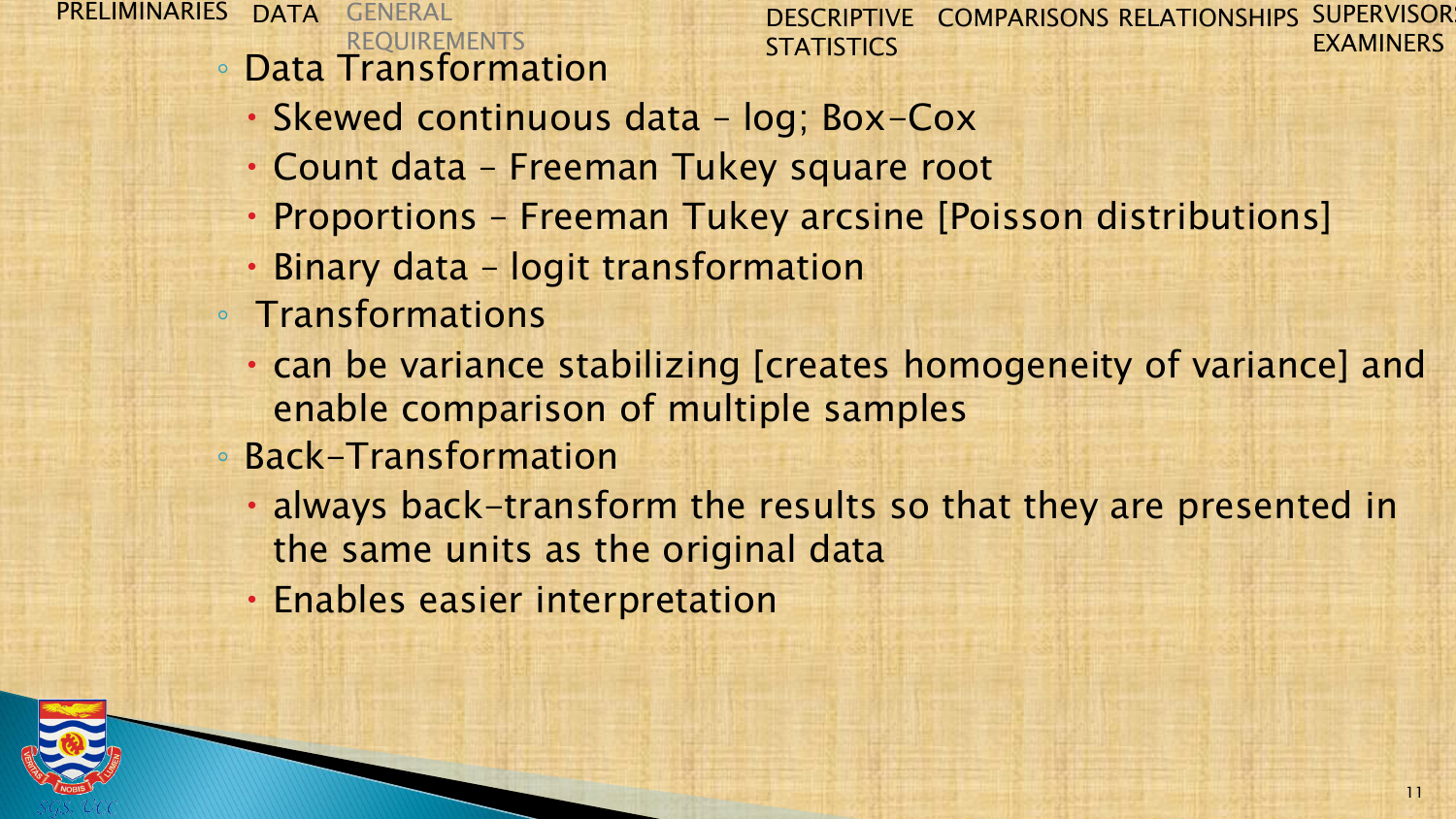◦ Data Transformation

- Skewed continuous data log; Box-Cox
- Count data Freeman Tukey square root
- Proportions Freeman Tukey arcsine [Poisson distributions]
- Binary data logit transformation
- Transformations
	- can be variance stabilizing [creates homogeneity of variance] and enable comparison of multiple samples
- Back-Transformation
	- always back-transform the results so that they are presented in the same units as the original data
	- Enables easier interpretation

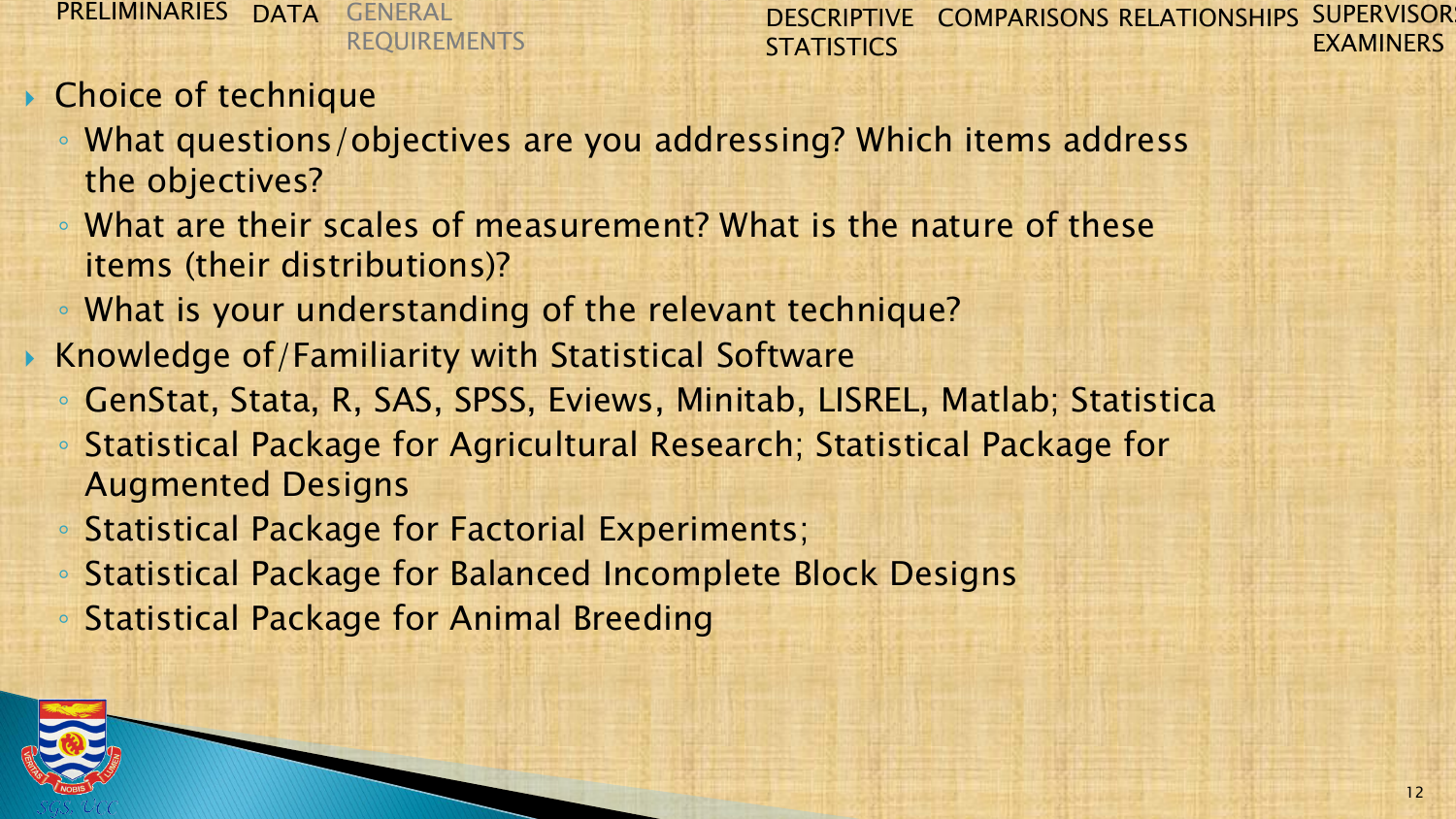- ▶ Choice of technique
	- What questions/objectives are you addressing? Which items address the objectives?
	- What are their scales of measurement? What is the nature of these items (their distributions)?
	- What is your understanding of the relevant technique?
- $\triangleright$  Knowledge of/Familiarity with Statistical Software
	- GenStat, Stata, R, SAS, SPSS, Eviews, Minitab, LISREL, Matlab; Statistica
	- Statistical Package for Agricultural Research; Statistical Package for Augmented Designs
	- Statistical Package for Factorial Experiments;
	- Statistical Package for Balanced Incomplete Block Designs
	- Statistical Package for Animal Breeding

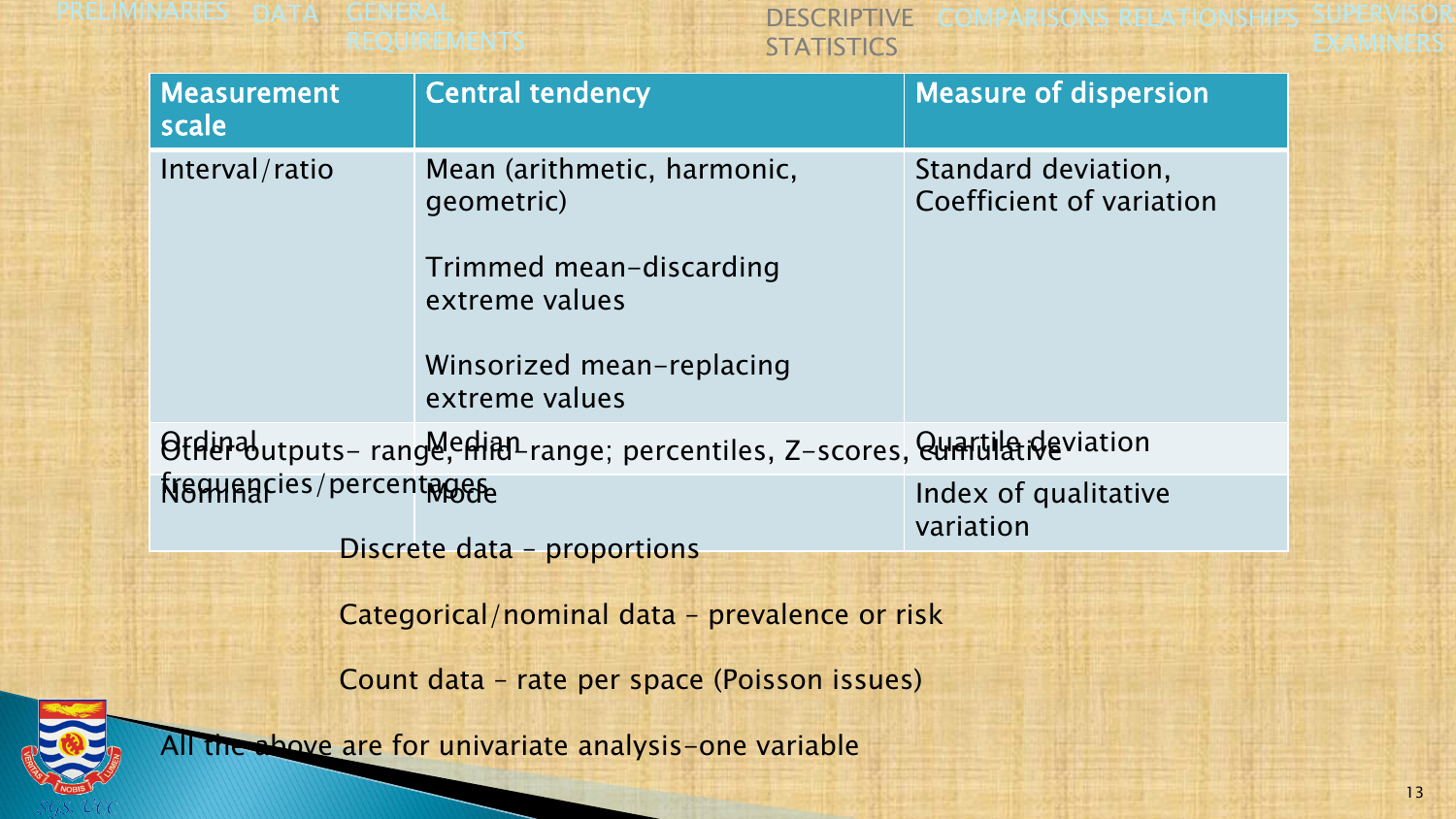| <b>Measurement</b><br>scale                                                    | <b>Central tendency</b>                     | <b>Measure of dispersion</b>                    |  |  |
|--------------------------------------------------------------------------------|---------------------------------------------|-------------------------------------------------|--|--|
| Interval/ratio                                                                 | Mean (arithmetic, harmonic,<br>geometric)   | Standard deviation,<br>Coefficient of variation |  |  |
|                                                                                | Trimmed mean-discarding<br>extreme values   |                                                 |  |  |
|                                                                                | Winsorized mean-replacing<br>extreme values |                                                 |  |  |
| Offler butputs- range, entity range; percentiles, Z-scores, Quartila deviation |                                             |                                                 |  |  |
| framagries/percentages                                                         |                                             | Index of qualitative<br>variation               |  |  |
| Discrete data - proportions                                                    |                                             |                                                 |  |  |
| Categorical/nominal data - prevalence or risk                                  |                                             |                                                 |  |  |
| Count data – rate per space (Poisson issues)                                   |                                             |                                                 |  |  |
| All the above are for univariate analysis-one variable                         |                                             |                                                 |  |  |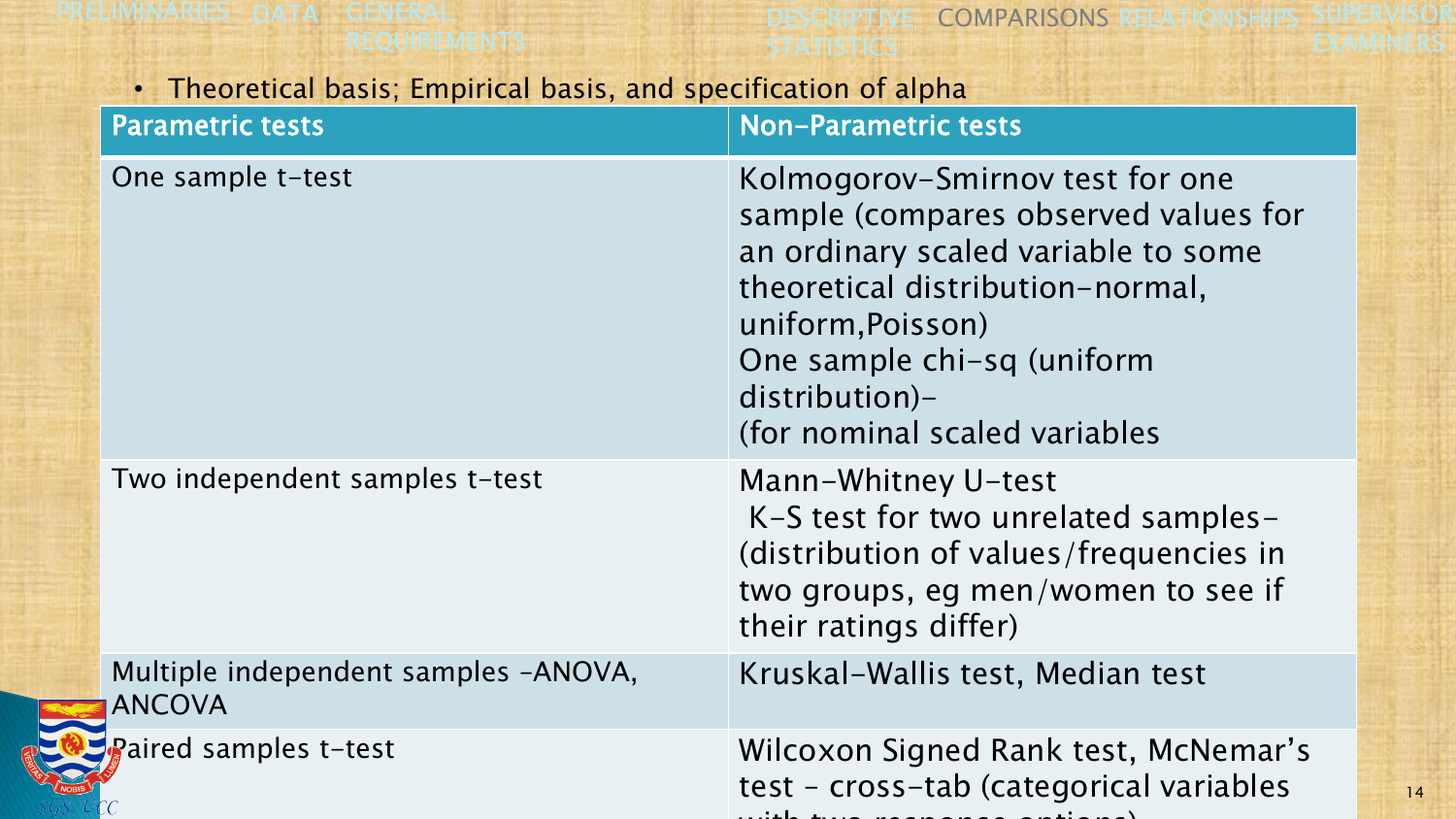READER

DESCRIPTIVE COMPARISONS RELATIONSHIPS SUPERVISOR **STATISTICS** EXAMINERS

14

#### • Theoretical basis; Empirical basis, and specification of alpha

| <b>Parametric tests</b>                               | <b>Non-Parametric tests</b>                                                                                                                                                                                                                              |
|-------------------------------------------------------|----------------------------------------------------------------------------------------------------------------------------------------------------------------------------------------------------------------------------------------------------------|
| One sample t-test                                     | Kolmogorov-Smirnov test for one<br>sample (compares observed values for<br>an ordinary scaled variable to some<br>theoretical distribution-normal,<br>uniform, Poisson)<br>One sample chi-sq (uniform<br>distribution)-<br>(for nominal scaled variables |
| Two independent samples t-test                        | Mann-Whitney U-test<br>K-S test for two unrelated samples-<br>(distribution of values/frequencies in<br>two groups, eg men/women to see if<br>their ratings differ)                                                                                      |
| Multiple independent samples -ANOVA,<br><b>ANCOVA</b> | Kruskal-Wallis test, Median test                                                                                                                                                                                                                         |
| Paired samples t-test                                 | Wilcoxon Signed Rank test, McNemar's<br>test - cross-tab (categorical variables                                                                                                                                                                          |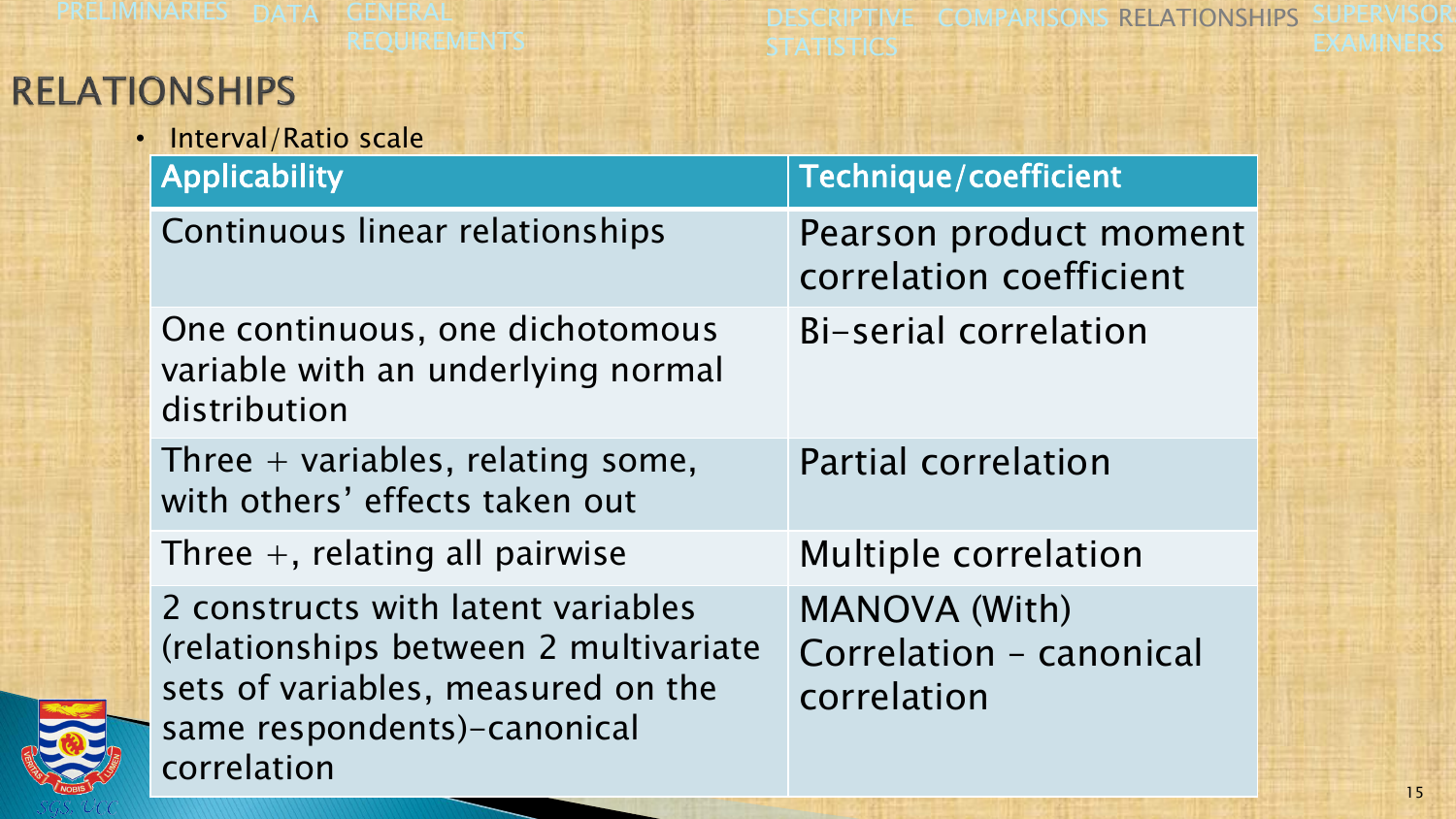# **RELATION**

| <b>ONSHIPS</b>                                                                                                                                                  |                                                                |  |  |
|-----------------------------------------------------------------------------------------------------------------------------------------------------------------|----------------------------------------------------------------|--|--|
| · Interval/Ratio scale                                                                                                                                          |                                                                |  |  |
| Applicability                                                                                                                                                   | Technique/coefficient                                          |  |  |
| Continuous linear relationships                                                                                                                                 | Pearson product moment<br>correlation coefficient              |  |  |
| One continuous, one dichotomous<br>variable with an underlying normal<br>distribution                                                                           | Bi-serial correlation                                          |  |  |
| Three $+$ variables, relating some,<br>with others' effects taken out                                                                                           | <b>Partial correlation</b>                                     |  |  |
| Three $+$ , relating all pairwise                                                                                                                               | <b>Multiple correlation</b>                                    |  |  |
| 2 constructs with latent variables<br>(relationships between 2 multivariate<br>sets of variables, measured on the<br>same respondents)-canonical<br>correlation | <b>MANOVA (With)</b><br>Correlation - canonical<br>correlation |  |  |

**STATISTICS** 

DESCRIPTIVE COMPARISONS RELATIONSHIPS SUPERVISOR

**HELLOWERS** 



EXAMINERS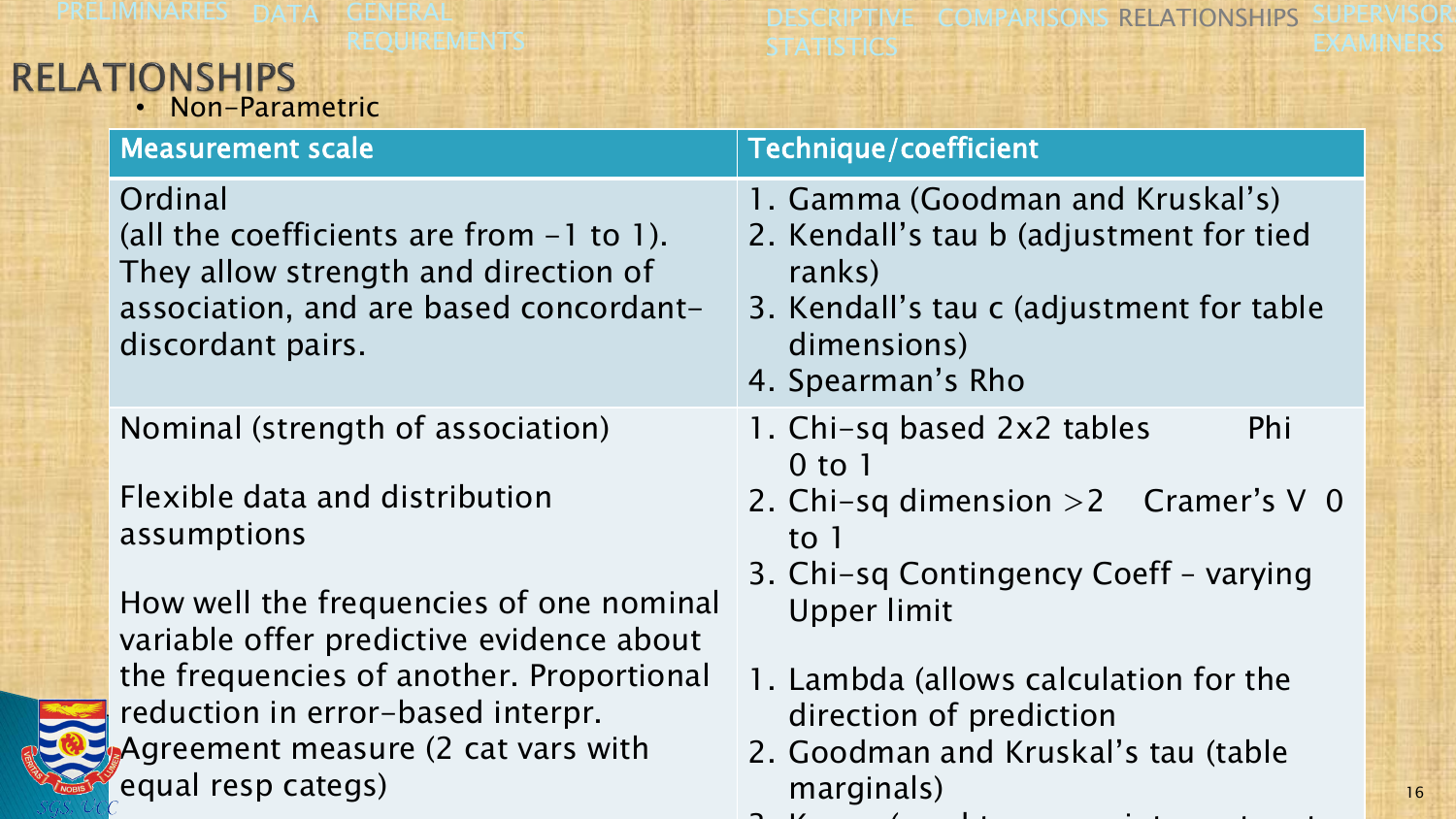# RELATIONSHIPS<br>• Non-Parametric

DESCRIPTIVE COMPARISONS RELATIONSHIPS SUPERVISOR **STATISTICS** EXAMINERS

| <b>Measurement scale</b>                                                                                                                                     | Technique/coefficient                                                                                                                                                 |
|--------------------------------------------------------------------------------------------------------------------------------------------------------------|-----------------------------------------------------------------------------------------------------------------------------------------------------------------------|
| Ordinal<br>(all the coefficients are from $-1$ to 1).<br>They allow strength and direction of<br>association, and are based concordant-<br>discordant pairs. | 1. Gamma (Goodman and Kruskal's)<br>2. Kendall's tau b (adjustment for tied<br>ranks)<br>3. Kendall's tau c (adjustment for table<br>dimensions)<br>4. Spearman's Rho |
| Nominal (strength of association)                                                                                                                            | 1. Chi-sq based 2x2 tables<br>Phi<br>$0$ to 1                                                                                                                         |
| Flexible data and distribution<br>assumptions                                                                                                                | 2. Chi-sq dimension $>2$ Cramer's V 0<br>to 1<br>3. Chi-sq Contingency Coeff - varying                                                                                |
| How well the frequencies of one nominal<br>variable offer predictive evidence about                                                                          | Upper limit                                                                                                                                                           |
| the frequencies of another. Proportional<br>reduction in error-based interpr.                                                                                | 1. Lambda (allows calculation for the<br>direction of prediction                                                                                                      |
| Agreement measure (2 cat vars with<br>equal resp categs)                                                                                                     | 2. Goodman and Kruskal's tau (table<br>marginals)                                                                                                                     |

 $3.1$  Kappa (used to assess inter-rate to assess inter-rate to assess inter-rate  $\alpha$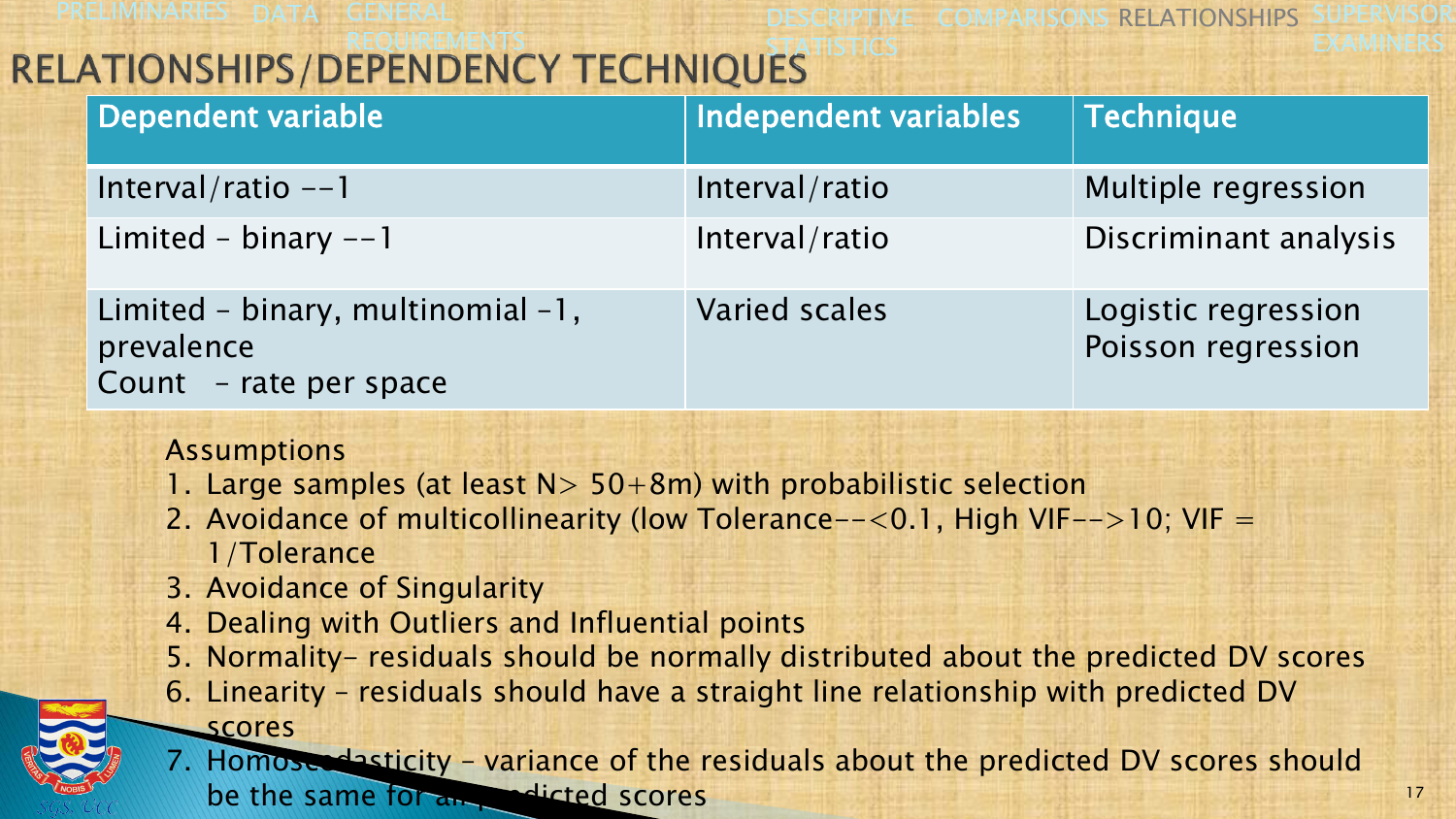**DESCRIPTIVE COMPARISONS RELATIONSHIPS SUPERVISOR EXAMINERS** 

# REQUIREMENTS **Example 20 In the STATISTICS**

| Dependent variable                                                        | Independent variables | Technique                                 |
|---------------------------------------------------------------------------|-----------------------|-------------------------------------------|
| Interval/ratio $--1$                                                      | Interval/ratio        | Multiple regression                       |
| Limited - binary $-1$                                                     | Interval/ratio        | Discriminant analysis                     |
| Limited - binary, multinomial -1,<br>prevalence<br>Count - rate per space | <b>Varied scales</b>  | Logistic regression<br>Poisson regression |

#### Assumptions

**Scores** 

- 1. Large samples (at least  $N > 50+8m$ ) with probabilistic selection
- 2. Avoidance of multicollinearity (low Tolerance--<0.1, High VIF-->10; VIF = 1/Tolerance
- 3. Avoidance of Singularity
- 4. Dealing with Outliers and Influential points
- 5. Normality- residuals should be normally distributed about the predicted DV scores
- 6. Linearity residuals should have a straight line relationship with predicted DV
- 
- 7. Homoscedasticity variance of the residuals about the predicted DV scores should be the same for all predicted scores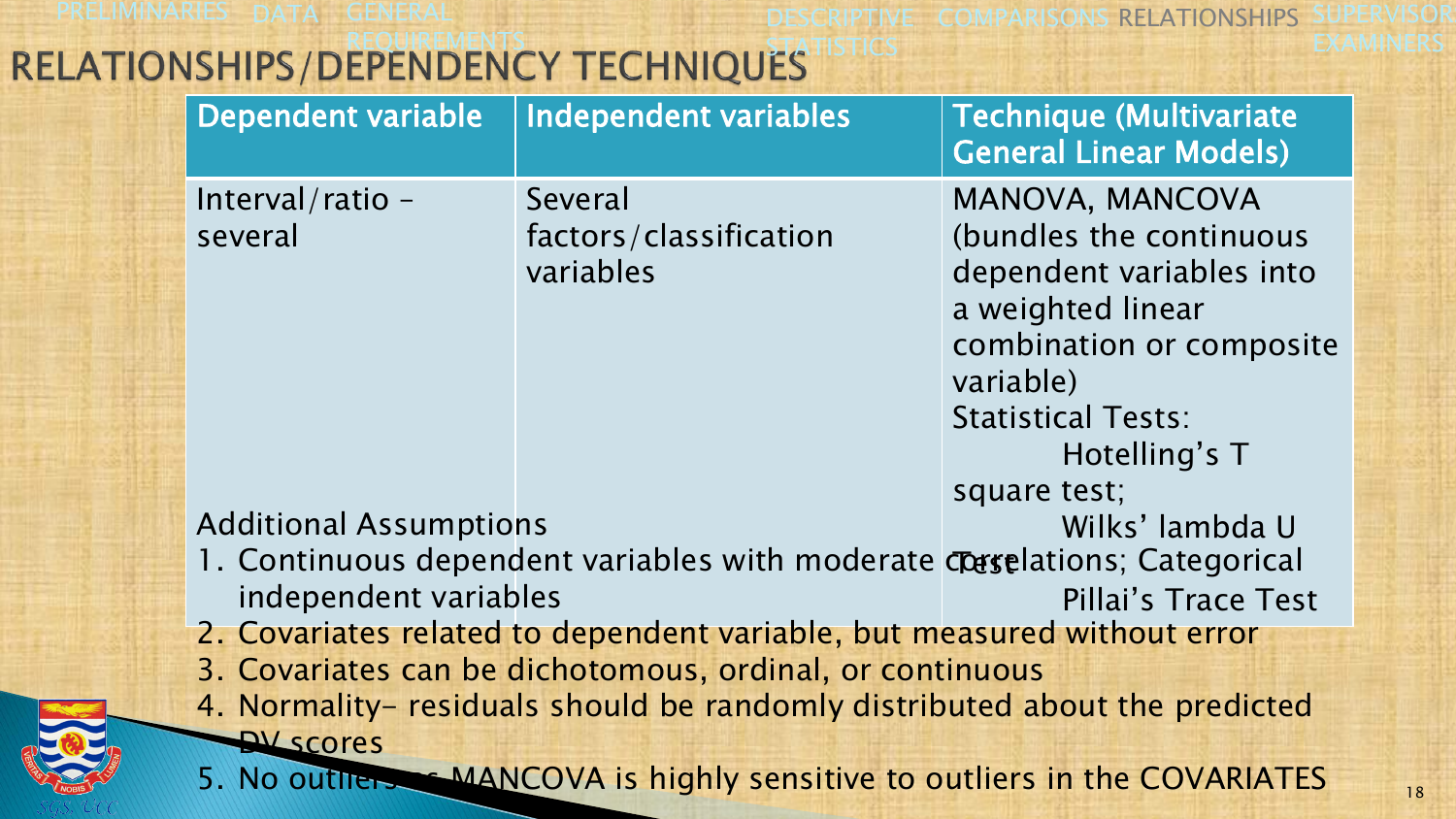PRELIMINARIES DATA GENERAL

DESCRIPTIVE COMPARISONS RELATIONSHIPS SUPERVISOR EXAMINERS

# RELATIONSHIPS/DEPENDENCY TECHNIQUES

| <b>Dependent variable</b>                                                  | <b>Independent variables</b>                                              | <b>Technique (Multivariate</b><br><b>General Linear Models)</b> |
|----------------------------------------------------------------------------|---------------------------------------------------------------------------|-----------------------------------------------------------------|
| Interval/ratio -                                                           | Several                                                                   | MANOVA, MANCOVA                                                 |
| several                                                                    | factors/classification                                                    | (bundles the continuous                                         |
|                                                                            | variables                                                                 | dependent variables into                                        |
|                                                                            |                                                                           | a weighted linear                                               |
|                                                                            |                                                                           | combination or composite                                        |
|                                                                            |                                                                           | variable)                                                       |
|                                                                            |                                                                           | <b>Statistical Tests:</b>                                       |
|                                                                            |                                                                           | Hotelling's T                                                   |
|                                                                            |                                                                           | square test;                                                    |
| <b>Additional Assumptions</b>                                              |                                                                           | Wilks' lambda U                                                 |
|                                                                            | 1. Continuous dependent variables with moderate corselations; Categorical |                                                                 |
| independent variables                                                      |                                                                           | Pillai's Trace Test                                             |
|                                                                            | 2. Covariates related to dependent variable, but measured without error   |                                                                 |
| 3. Covariates can be dichotomous, ordinal, or continuous                   |                                                                           |                                                                 |
| 4. Normality– residuals should be randomly distributed about the predicted |                                                                           |                                                                 |
| <b>AV scores</b>                                                           |                                                                           |                                                                 |
| 5. No outliers MANCOVA is highly sensitive to outliers in the COVARIATES   |                                                                           |                                                                 |

STICS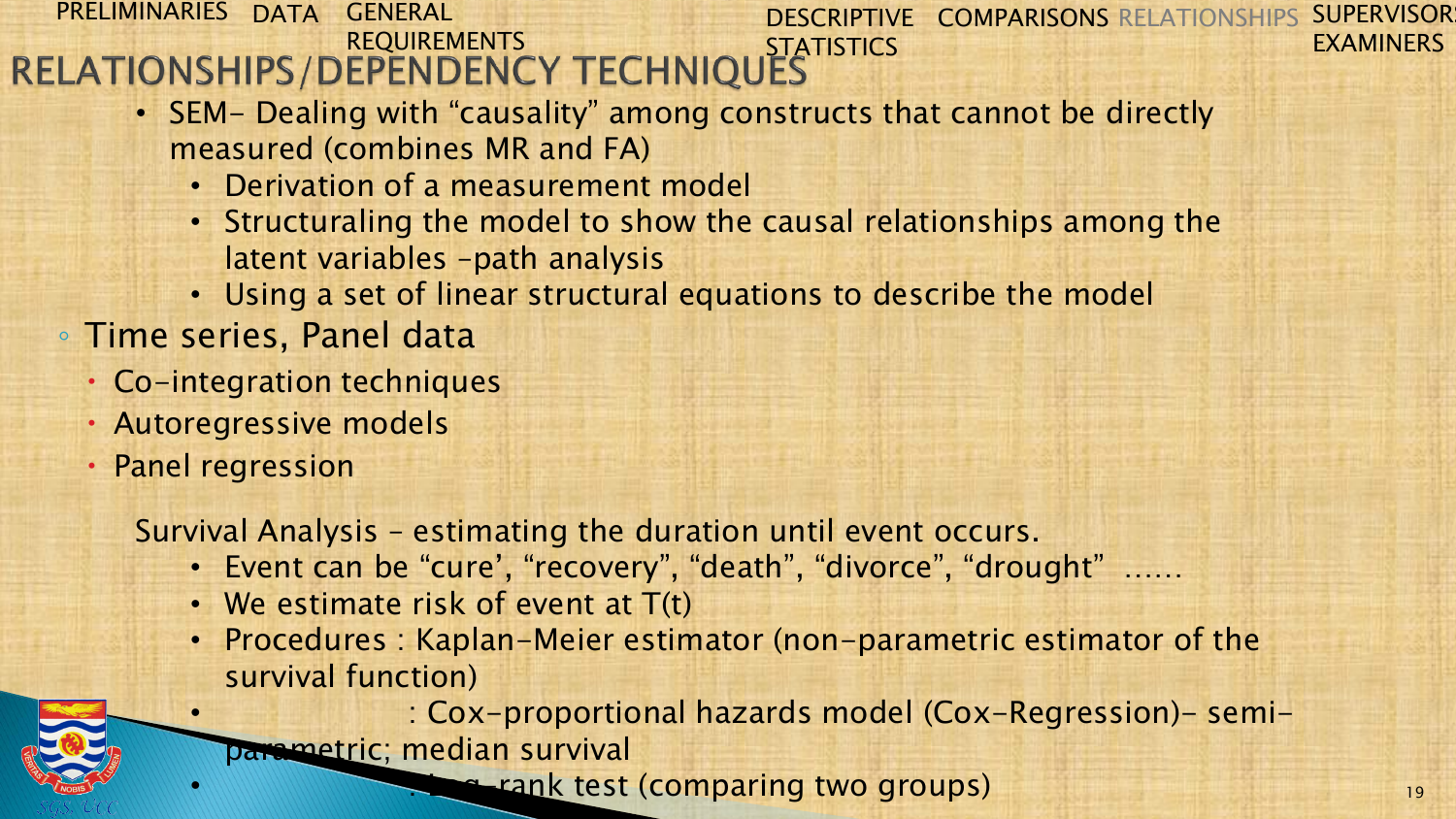#### PRELIMINARIES DATA GENERAL REQUIREMENTS STATISTICS DESCRIPTIVE COMPARISONS RELATIONSHIPS SUPERVISORS EXAMINERS

- SEM- Dealing with "causality" among constructs that cannot be directly measured (combines MR and FA)
	- Derivation of a measurement model
	- Structuraling the model to show the causal relationships among the latent variables –path analysis
	- Using a set of linear structural equations to describe the model
- Time series, Panel data
	- Co-integration techniques
	- Autoregressive models
	- Panel regression

Survival Analysis – estimating the duration until event occurs.

- Event can be "cure', "recovery", "death", "divorce", "drought" ……
- We estimate risk of event at  $T(t)$
- Procedures : Kaplan-Meier estimator (non-parametric estimator of the survival function)

• : Cox-proportional hazards model (Cox-Regression)- semiparametric; median survival

**• rank test (comparing two groups)**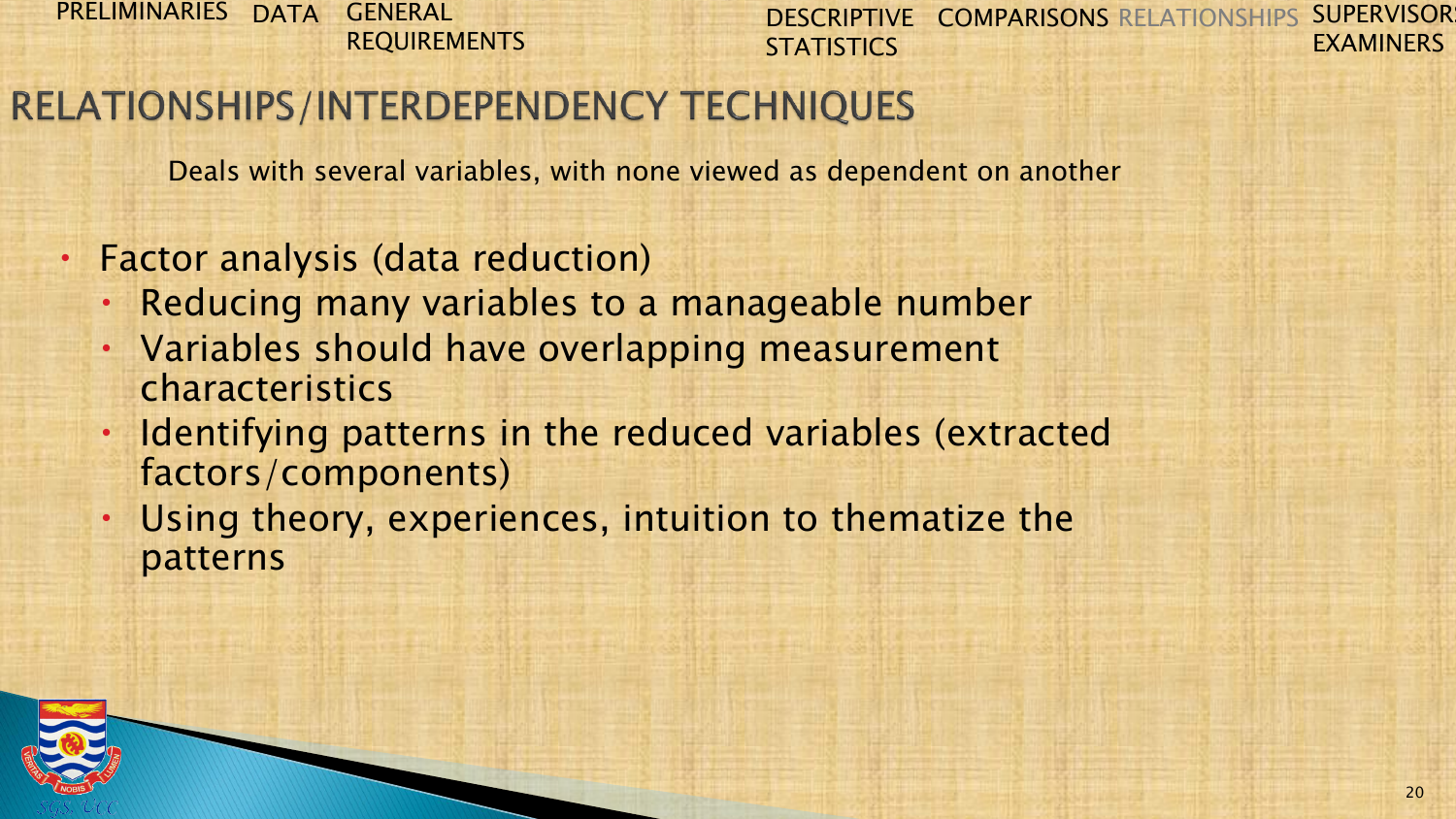DESCRIPTIVE COMPARISONS RELATIONSHIPS SUPERVISORS **STATISTICS** EXAMINERS

## RELATIONSHIPS/INTERDEPENDENCY TECHNIQUES

Deals with several variables, with none viewed as dependent on another

- Factor analysis (data reduction)
	- Reducing many variables to a manageable number
	- Variables should have overlapping measurement characteristics
	- Identifying patterns in the reduced variables (extracted factors/components)
	- Using theory, experiences, intuition to thematize the patterns

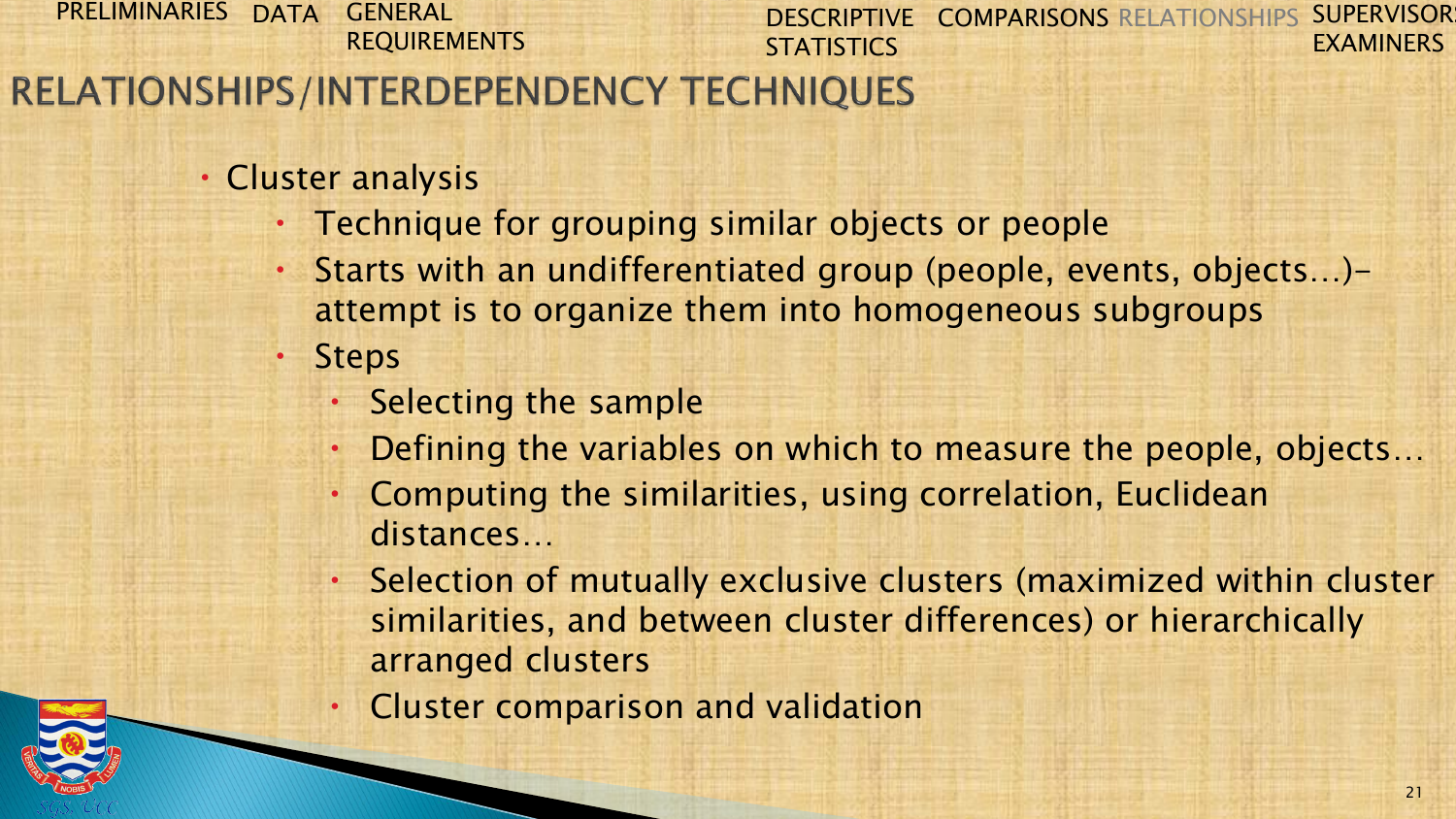#### PRELIMINARIES DATA GENERAL DESCRIPTIVE COMPARISONS RELATIONSHIPS SUPERVISORS REQUIREMENTS **STATISTICS** RELATIONSHIPS/INTERDEPENDENCY TECHNIQUES

- Cluster analysis
	- Technique for grouping similar objects or people
		- Starts with an undifferentiated group (people, events, objects…) attempt is to organize them into homogeneous subgroups
	- Steps
		- Selecting the sample
		- Defining the variables on which to measure the people, objects…
		- Computing the similarities, using correlation, Euclidean distances…
		- Selection of mutually exclusive clusters (maximized within cluster similarities, and between cluster differences) or hierarchically arranged clusters
		- Cluster comparison and validation



EXAMINERS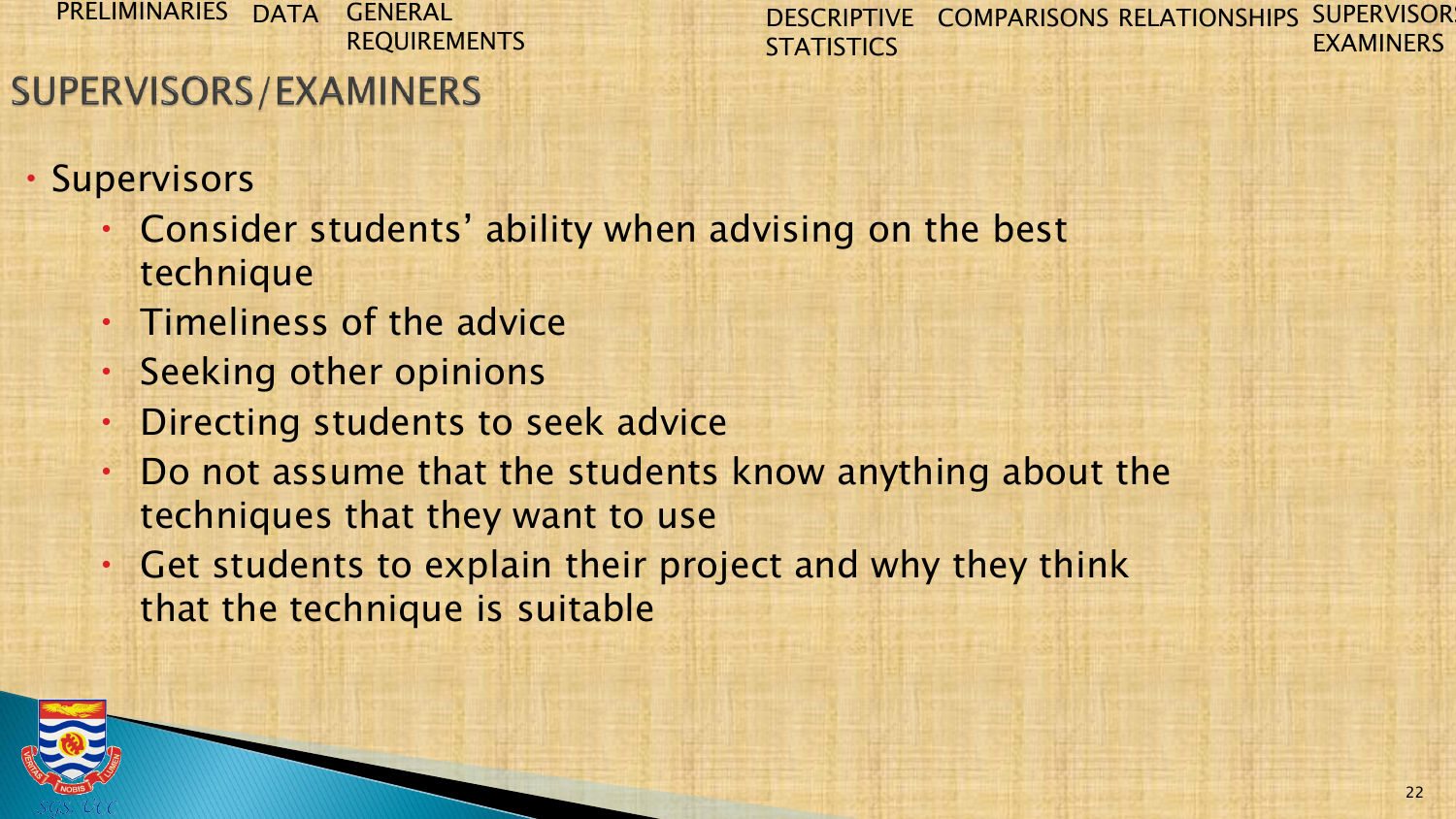DESCRIPTIVE COMPARISONS RELATIONSHIPS SUPERVISOR **STATISTICS** EXAMINERS

## **SUPERVISORS/EXAMINERS**

- Supervisors
	- Consider students' ability when advising on the best technique
	- Timeliness of the advice
	- Seeking other opinions
	- Directing students to seek advice
	- Do not assume that the students know anything about the techniques that they want to use
	- Get students to explain their project and why they think that the technique is suitable

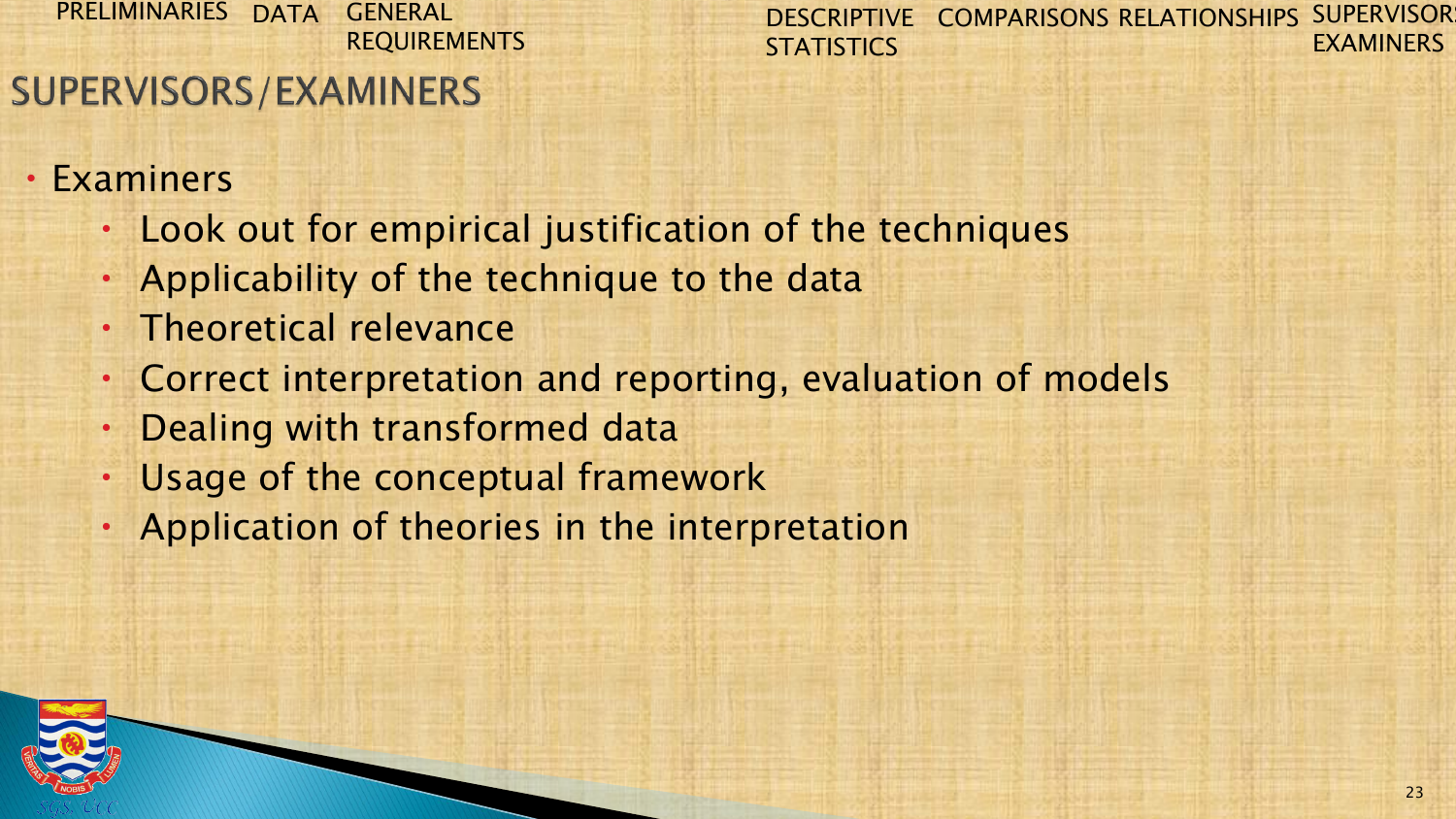DESCRIPTIVE COMPARISONS RELATIONSHIPS SUPERVISOR **STATISTICS** EXAMINERS

## **SUPERVISORS/EXAMINERS**

- Examiners
	- Look out for empirical justification of the techniques
	- Applicability of the technique to the data
	- Theoretical relevance
	- Correct interpretation and reporting, evaluation of models
	- Dealing with transformed data
	- Usage of the conceptual framework
	- Application of theories in the interpretation